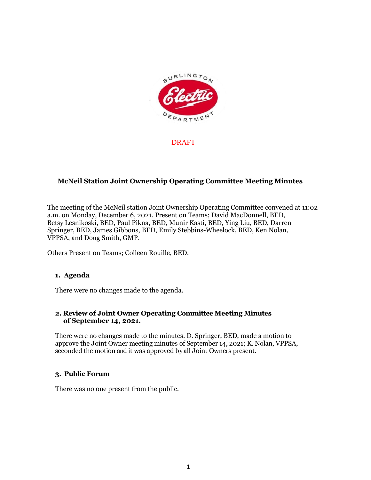

DRAFT

# **McNeil Station Joint Ownership Operating Committee Meeting Minutes**

The meeting of the McNeil station Joint Ownership Operating Committee convened at 11:02 a.m. on Monday, December 6, 2021. Present on Teams; David MacDonnell, BED, Betsy Lesnikoski, BED, Paul Pikna, BED, Munir Kasti, BED, Ying Liu, BED, Darren Springer, BED, James Gibbons, BED, Emily Stebbins-Wheelock, BED, Ken Nolan, VPPSA, and Doug Smith, GMP.

Others Present on Teams; Colleen Rouille, BED.

#### **1. Agenda**

There were no changes made to the agenda.

### **2. Review of Joint Owner Operating Committee Meeting Minutes of September 14, 2021.**

There were no changes made to the minutes. D. Springer, BED, made a motion to approve the Joint Owner meeting minutes of September 14, 2021; K. Nolan, VPPSA, seconded the motion and it was approved by all Joint Owners present.

### **3. Public Forum**

There was no one present from the public.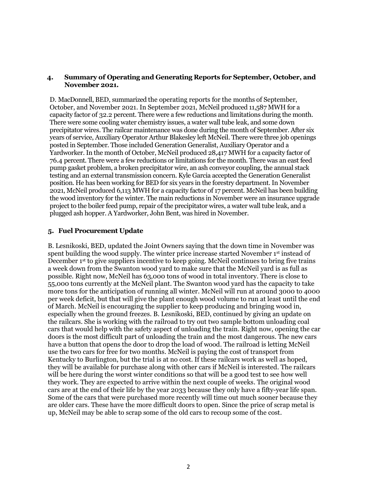### **4. Summary of Operating and Generating Reports for September, October, and November 2021.**

D. MacDonnell, BED, summarized the operating reports for the months of September, October, and November 2021. In September 2021, McNeil produced 11,587 MWH for a capacity factor of 32.2 percent. There were a few reductions and limitations during the month. There were some cooling water chemistry issues, a water wall tube leak, and some down precipitator wires. The railcar maintenance was done during the month of September. After six years of service, Auxiliary Operator Arthur Blakesley left McNeil. There were three job openings posted in September. Those included Generation Generalist, Auxiliary Operator and a Yardworker. In the month of October, McNeil produced 28,417 MWH for a capacity factor of 76.4 percent. There were a few reductions or limitations for the month. There was an east feed pump gasket problem, a broken precipitator wire, an ash conveyor coupling, the annual stack testing and an external transmission concern. Kyle Garcia accepted the Generation Generalist position. He has been working for BED for six years in the forestry department. In November 2021, McNeil produced 6,113 MWH for a capacity factor of 17 percent. McNeil has been building the wood inventory for the winter. The main reductions in November were an insurance upgrade project to the boiler feed pump, repair of the precipitator wires, a water wall tube leak, and a plugged ash hopper. A Yardworker, John Bent, was hired in November.

### **5. Fuel Procurement Update**

B. Lesnikoski, BED, updated the Joint Owners saying that the down time in November was spent building the wood supply. The winter price increase started November 1<sup>st</sup> instead of December 1<sup>st</sup> to give suppliers incentive to keep going. McNeil continues to bring five trains a week down from the Swanton wood yard to make sure that the McNeil yard is as full as possible. Right now, McNeil has 63,000 tons of wood in total inventory. There is close to 55,000 tons currently at the McNeil plant. The Swanton wood yard has the capacity to take more tons for the anticipation of running all winter. McNeil will run at around 3000 to 4000 per week deficit, but that will give the plant enough wood volume to run at least until the end of March. McNeil is encouraging the supplier to keep producing and bringing wood in, especially when the ground freezes. B. Lesnikoski, BED, continued by giving an update on the railcars. She is working with the railroad to try out two sample bottom unloading coal cars that would help with the safety aspect of unloading the train. Right now, opening the car doors is the most difficult part of unloading the train and the most dangerous. The new cars have a button that opens the door to drop the load of wood. The railroad is letting McNeil use the two cars for free for two months. McNeil is paying the cost of transport from Kentucky to Burlington, but the trial is at no cost. If these railcars work as well as hoped, they will be available for purchase along with other cars if McNeil is interested. The railcars will be here during the worst winter conditions so that will be a good test to see how well they work. They are expected to arrive within the next couple of weeks. The original wood cars are at the end of their life by the year 2033 because they only have a fifty-year life span. Some of the cars that were purchased more recently will time out much sooner because they are older cars. These have the more difficult doors to open. Since the price of scrap metal is up, McNeil may be able to scrap some of the old cars to recoup some of the cost.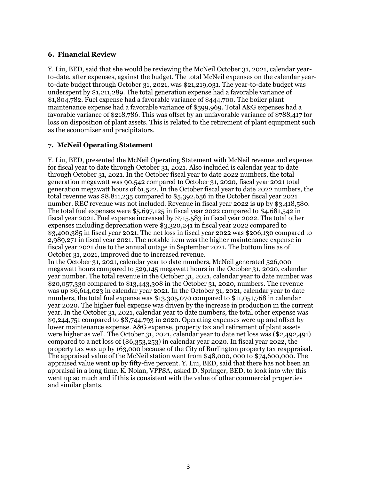## **6. Financial Review**

Y. Liu, BED, said that she would be reviewing the McNeil October 31, 2021, calendar yearto-date, after expenses, against the budget. The total McNeil expenses on the calendar yearto-date budget through October 31, 2021, was \$21,219,031. The year-to-date budget was underspent by \$1,211,289. The total generation expense had a favorable variance of \$1,804,782. Fuel expense had a favorable variance of \$444,700. The boiler plant maintenance expense had a favorable variance of \$599,969. Total A&G expenses had a favorable variance of \$218,786. This was offset by an unfavorable variance of \$788,417 for loss on disposition of plant assets. This is related to the retirement of plant equipment such as the economizer and precipitators.

# **7. McNeil Operating Statement**

Y. Liu, BED, presented the McNeil Operating Statement with McNeil revenue and expense for fiscal year to date through October 31, 2021. Also included is calendar year to date through October 31, 2021. In the October fiscal year to date 2022 numbers, the total generation megawatt was 90,542 compared to October 31, 2020, fiscal year 2021 total generation megawatt hours of 61,522. In the October fiscal year to date 2022 numbers, the total revenue was \$8,811,235 compared to \$5,392,656 in the October fiscal year 2021 number. REC revenue was not included. Revenue in fiscal year 2022 is up by \$3,418,580. The total fuel expenses were \$5,697,125 in fiscal year 2022 compared to \$4,681,542 in fiscal year 2021. Fuel expense increased by \$715,583 in fiscal year 2022. The total other expenses including depreciation were \$3,320,241 in fiscal year 2022 compared to \$3,400,385 in fiscal year 2021. The net loss in fiscal year 2022 was \$206,130 compared to 2,989,271 in fiscal year 2021. The notable item was the higher maintenance expense in fiscal year 2021 due to the annual outage in September 2021. The bottom line as of October 31, 2021, improved due to increased revenue.

In the October 31, 2021, calendar year to date numbers, McNeil generated 526,000 megawatt hours compared to 529,145 megawatt hours in the October 31, 2020, calendar year number. The total revenue in the October 31, 2021, calendar year to date number was \$20,057,330 compared to \$13,443,308 in the October 31, 2020, numbers. The revenue was up \$6,614,023 in calendar year 2021. In the October 31, 2021, calendar year to date numbers, the total fuel expense was \$13,305,070 compared to \$11,051,768 in calendar year 2020. The higher fuel expense was driven by the increase in production in the current year. In the October 31, 2021, calendar year to date numbers, the total other expense was \$9,244,751 compared to \$8,744,793 in 2020. Operating expenses were up and offset by lower maintenance expense. A&G expense, property tax and retirement of plant assets were higher as well. The October 31, 2021, calendar year to date net loss was (\$2,492,491) compared to a net loss of (\$6,353,253) in calendar year 2020. In fiscal year 2022, the property tax was up by 163,000 because of the City of Burlington property tax reappraisal. The appraised value of the McNeil station went from \$48,000, 000 to \$74,600,000. The appraised value went up by fifty-five percent. Y. Lui, BED, said that there has not been an appraisal in a long time. K. Nolan, VPPSA, asked D. Springer, BED, to look into why this went up so much and if this is consistent with the value of other commercial properties and similar plants.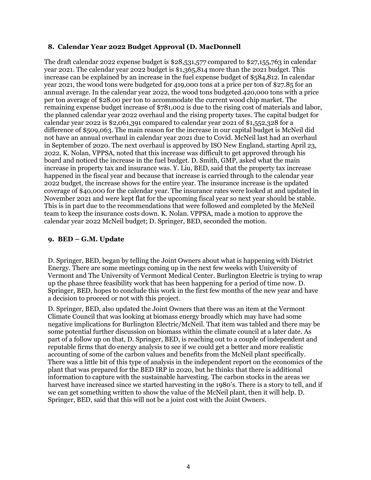# **8. Calendar Year 2022 Budget Approval (D. MacDonnell**

The draft calendar 2022 expense budget is \$28,531,577 compared to \$27,155,763 in calendar year 2021. The calendar year 2022 budget is \$1,365,814 more than the 2021 budget. This increase can be explained by an increase in the fuel expense budget of \$584,812. In calendar year 2021, the wood tons were budgeted for 419,000 tons at a price per ton of \$27.85 for an annual average. In the calendar year 2022, the wood tons budgeted 420,000 tons with a price per ton average of \$28.00 per ton to accommodate the current wood chip market. The remaining expense budget increase of \$781,002 is due to the rising cost of materials and labor, the planned calendar year 2022 overhaul and the rising property taxes. The capital budget for calendar year 2022 is \$2,061,391 compared to calendar year 2021 of \$1,552,328 for a difference of \$509,063. The main reason for the increase in our capital budget is McNeil did not have an annual overhaul in calendar year 2021 due to Covid. McNeil last had an overhaul in September of 2020. The next overhaul is approved by ISO New England, starting April 23, 2022. K. Nolan, VPPSA, noted that this increase was difficult to get approved through his board and noticed the increase in the fuel budget. D. Smith, GMP, asked what the main increase in property tax and insurance was. Y. Liu, BED, said that the property tax increase happened in the fiscal year and because that increase is carried through to the calendar year 2022 budget, the increase shows for the entire year. The insurance increase is the updated coverage of \$40,000 for the calendar year. The insurance rates were looked at and updated in November 2021 and were kept flat for the upcoming fiscal year so next year should be stable. This is in part due to the recommendations that were followed and completed by the McNeil team to keep the insurance costs down. K. Nolan. VPPSA, made a motion to approve the calendar year 2022 McNeil budget; D. Springer, BED, seconded the motion.

# **9. BED – G.M. Update**

D. Springer, BED, began by telling the Joint Owners about what is happening with District Energy. There are some meetings coming up in the next few weeks with University of Vermont and The University of Vermont Medical Center. Burlington Electric is trying to wrap up the phase three feasibility work that has been happening for a period of time now. D. Springer, BED, hopes to conclude this work in the first few months of the new year and have a decision to proceed or not with this project.

D. Springer, BED, also updated the Joint Owners that there was an item at the Vermont Climate Council that was looking at biomass energy broadly which may have had some negative implications for Burlington Electric/McNeil. That item was tabled and there may be some potential further discussion on biomass within the climate council at a later date. As part of a follow up on that, D. Springer, BED, is reaching out to a couple of independent and reputable firms that do energy analysis to see if we could get a better and more realistic accounting of some of the carbon values and benefits from the McNeil plant specifically. There was a little bit of this type of analysis in the independent report on the economics of the plant that was prepared for the BED IRP in 2020, but he thinks that there is additional information to capture with the sustainable harvesting. The carbon stocks in the areas we harvest have increased since we started harvesting in the 1980's. There is a story to tell, and if we can get something written to show the value of the McNeil plant, then it will help. D. Springer, BED, said that this will not be a joint cost with the Joint Owners.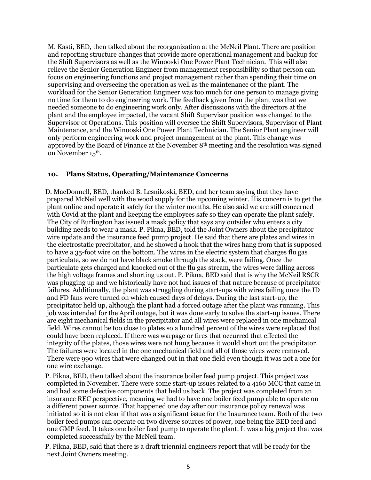M. Kasti, BED, then talked about the reorganization at the McNeil Plant. There are position and reporting structure changes that provide more operational management and backup for the Shift Supervisors as well as the Winooski One Power Plant Technician. This will also relieve the Senior Generation Engineer from management responsibility so that person can focus on engineering functions and project management rather than spending their time on supervising and overseeing the operation as well as the maintenance of the plant. The workload for the Senior Generation Engineer was too much for one person to manage giving no time for them to do engineering work. The feedback given from the plant was that we needed someone to do engineering work only. After discussions with the directors at the plant and the employee impacted, the vacant Shift Supervisor position was changed to the Supervisor of Operations. This position will oversee the Shift Supervisors, Supervisor of Plant Maintenance, and the Winooski One Power Plant Technician. The Senior Plant engineer will only perform engineering work and project management at the plant. This change was approved by the Board of Finance at the November 8th meeting and the resolution was signed on November 15th.

### **10. Plans Status, Operating/Maintenance Concerns**

D. MacDonnell, BED, thanked B. Lesnikoski, BED, and her team saying that they have prepared McNeil well with the wood supply for the upcoming winter. His concern is to get the plant online and operate it safely for the winter months. He also said we are still concerned with Covid at the plant and keeping the employees safe so they can operate the plant safely. The City of Burlington has issued a mask policy that says any outsider who enters a city building needs to wear a mask. P. Pikna, BED, told the Joint Owners about the precipitator wire update and the insurance feed pump project. He said that there are plates and wires in the electrostatic precipitator, and he showed a hook that the wires hang from that is supposed to have a 35-foot wire on the bottom. The wires in the electric system that charges flu gas particulate, so we do not have black smoke through the stack, were failing. Once the particulate gets charged and knocked out of the flu gas stream, the wires were falling across the high voltage frames and shorting us out. P. Pikna, BED said that is why the McNeil RSCR was plugging up and we historically have not had issues of that nature because of precipitator failures. Additionally, the plant was struggling during start-ups with wires failing once the ID and FD fans were turned on which caused days of delays. During the last start-up, the precipitator held up, although the plant had a forced outage after the plant was running. This job was intended for the April outage, but it was done early to solve the start-up issues. There are eight mechanical fields in the precipitator and all wires were replaced in one mechanical field. Wires cannot be too close to plates so a hundred percent of the wires were replaced that could have been replaced. If there was warpage or fires that occurred that effected the integrity of the plates, those wires were not hung because it would short out the precipitator. The failures were located in the one mechanical field and all of those wires were removed. There were 990 wires that were changed out in that one field even though it was not a one for one wire exchange.

P. Pikna, BED, then talked about the insurance boiler feed pump project. This project was completed in November. There were some start-up issues related to a 4160 MCC that came in and had some defective components that held us back. The project was completed from an insurance REC perspective, meaning we had to have one boiler feed pump able to operate on a different power source. That happened one day after our insurance policy renewal was initiated so it is not clear if that was a significant issue for the Insurance team. Both of the two boiler feed pumps can operate on two diverse sources of power, one being the BED feed and one GMP feed. It takes one boiler feed pump to operate the plant. It was a big project that was completed successfully by the McNeil team.

P. Pikna, BED, said that there is a draft triennial engineers report that will be ready for the next Joint Owners meeting.